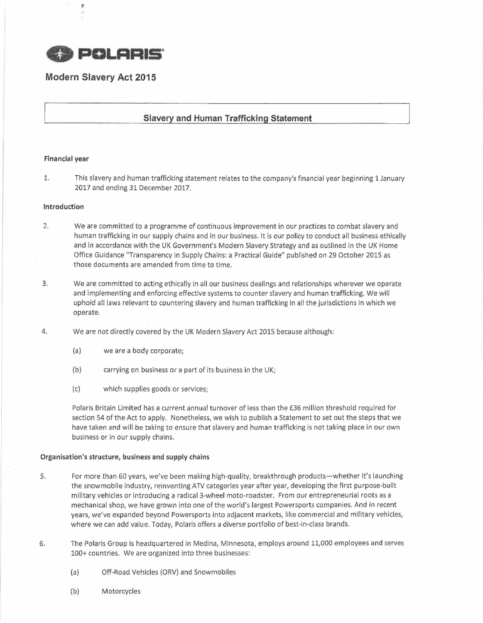

# **Modern Slavery Act 2015**

## **Slavery and Human Trafficking Statement**

### **Financial year**

1. This slavery and human trafficking statement relates to the company's financial year beginning 1 January 2017 and ending 31 December 2017.

### **Introduction**

- 2. We are committed to a programme of continuous improvement in our practices to combat slavery and human trafficking in our supply chains and in our business. It is our policy to conduct all business ethically and in accordance with the UK Government's Modern Slavery Strategy and as outlined in the UK Home Office Guidance "Transparency in Supply Chains: a Practical Guide" published on 29 October 2015 as those documents are amended from time to time.
- 3. We are committed to acting ethically in all our business dealings and relationships wherever we operate and implementing and enforcing effective systems to counter slavery and human trafficking. We will uphold all laws relevant to countering slavery and human trafficking in all the jurisdictions in which we operate.
- 4. We are not directly covered by the UK Modern Slavery Act 2015 because although:
	- (a) we are a body corporate;
	- (b) carrying on business or a part of its business in the UK;
	- (c) which supplies goods or services;

Polaris Britain Limited has a current annual turnover of less than the £36 million threshold required for section 54 of the Act to apply. Nonetheless, we wish to publish a Statement to set out the steps that we have taken and will be taking to ensure that slavery and human trafficking is not taking place in our own business or in our supply chains.

### Organisation's structure, business and supply chains

- 5. For more than 60 years, we've been making high-quality, breakthrough products-whether it's launching the snowmobile industry, reinventing ATV categories year after year, developing the first purpose-built military vehicles or introducing a radical 3-wheel moto-roadster. From our entrepreneurial roots as a mechanical shop, we have grown into one of the world's largest Powersports companies. And in recent years, we've expanded beyond Powersports into adjacent markets, like commercial and military vehicles, where we can add value. Today, Polaris offers a diverse portfolio of best-in-class brands.
- 6. The Polaris Group is headquartered in Medina, Minnesota, employs around 11,000 employees and serves 100+ countries. We are organized into three businesses:
	- (a) Off-Road Vehicles (ORV) and Snowmobiles
	- (b) Motorcycles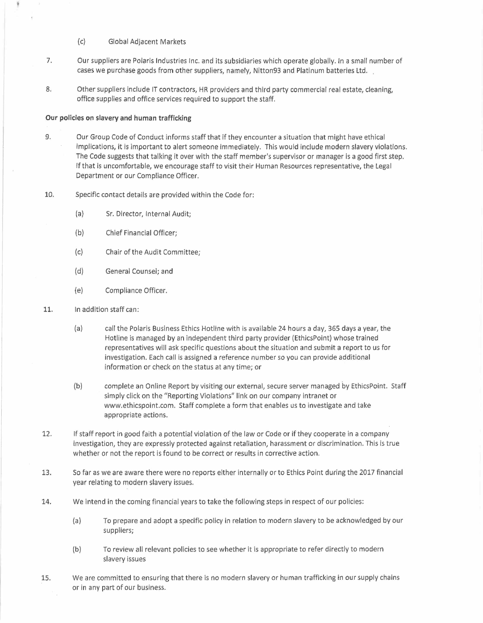- (c) Global Adjacent Markets
- 7. Our suppliers are Polaris Industries Inc. and its subsidiaries which operate globally. In a small number of cases we purchase goods from other suppliers, namely, Nitton93 and Platinum batteries Ltd.
- 8. Other suppliers include IT contractors, HR providers and third party commercial real estate, cleaning, office supplies and office services required to support the staff.

## **Our policies on slavery and human trafficking**

9. Our Group Code of Conduct informs staff that if they encounter a situation that might have ethical implications, it is important to alert someone immediately. This would include modern slavery violations. The Code suggests that talking it over with the staff member's supervisor or manager is a good first step. If that is uncomfortable, we encourage staff to visit their Human Resources representative, the Legal Department or our Compliance Officer.

- 10. Specific contact details are provided within the Code for:
	- (a) Sr. Director, Internal Audit;
	- (b) Chief Financial Officer;
	- (c} Chair of the Audit Committee;
	- (d) General Counsel; and
	- (e) Compliance Officer.
- 11. In addition staff can:
	- (a) call the Polaris Business Ethics Hotline with is available 24 hours a day, 365 days a year, the Hotline is managed by an independent third party provider (EthicsPoint) whose trained representatives will ask specific questions about the situation and submit a report to us for investigation. Each call is assigned a reference number so you can provide additional information or check on the status at any time; or
	- (b) complete an Online Report by visiting our external, secure server managed by EthicsPoint. Staff simply click on the "Reporting Violations" link on our company intranet or www.ethicspoint.com. Staff complete a form that enables us to investigate and take appropriate actions.
- 12. If staff report in good faith a potential violation of the law or Code or if they cooperate in a company investigation, they are expressly protected against retaliation, harassment or discrimination. This is true whether or not the report is found to be correct or results in corrective action.
- 13. So far as we are aware there were no reports either internally or to Ethics Point during the 2017 financial year relating to modern slavery issues.
- 14. We intend in the coming financial years to take the following steps in respect of our policies:
	- (a) To prepare and adopt a specific policy in relation to modern slavery to be acknowledged by our suppliers;
	- (b) To review all relevant policies to see whether it is appropriate to refer directly to modern slavery issues
- 15. We are committed to ensuring that there is no modern slavery or human trafficking in our supply chains or in any part of our business.